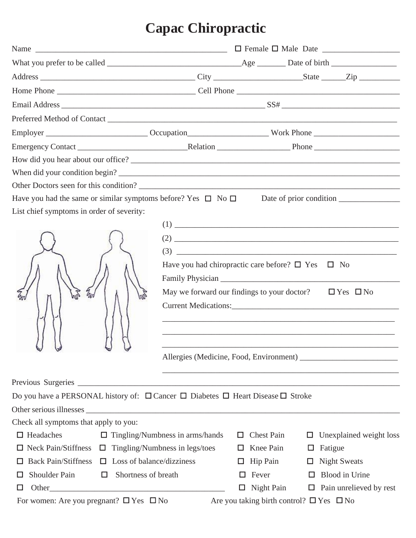# **Capac Chiropractic**

|                                                                                                            | Name $\frac{1}{\sqrt{1-\frac{1}{2}}}\left\{\frac{1}{\sqrt{1-\frac{1}{2}}}\right\}$ $\frac{1}{\sqrt{1-\frac{1}{2}}}\left\{\frac{1}{\sqrt{1-\frac{1}{2}}}\right\}$ Female $\frac{1}{\sqrt{1-\frac{1}{2}}}\left\{\frac{1}{\sqrt{1-\frac{1}{2}}}\right\}$ |   |                                                    |                  |                                                                                                                                                                                                                                                                                                                                                                                                                                                                              |  |
|------------------------------------------------------------------------------------------------------------|-------------------------------------------------------------------------------------------------------------------------------------------------------------------------------------------------------------------------------------------------------|---|----------------------------------------------------|------------------|------------------------------------------------------------------------------------------------------------------------------------------------------------------------------------------------------------------------------------------------------------------------------------------------------------------------------------------------------------------------------------------------------------------------------------------------------------------------------|--|
|                                                                                                            |                                                                                                                                                                                                                                                       |   |                                                    |                  |                                                                                                                                                                                                                                                                                                                                                                                                                                                                              |  |
|                                                                                                            |                                                                                                                                                                                                                                                       |   |                                                    |                  |                                                                                                                                                                                                                                                                                                                                                                                                                                                                              |  |
|                                                                                                            |                                                                                                                                                                                                                                                       |   |                                                    |                  |                                                                                                                                                                                                                                                                                                                                                                                                                                                                              |  |
|                                                                                                            |                                                                                                                                                                                                                                                       |   |                                                    |                  |                                                                                                                                                                                                                                                                                                                                                                                                                                                                              |  |
|                                                                                                            |                                                                                                                                                                                                                                                       |   |                                                    |                  |                                                                                                                                                                                                                                                                                                                                                                                                                                                                              |  |
|                                                                                                            |                                                                                                                                                                                                                                                       |   |                                                    |                  |                                                                                                                                                                                                                                                                                                                                                                                                                                                                              |  |
|                                                                                                            |                                                                                                                                                                                                                                                       |   |                                                    |                  |                                                                                                                                                                                                                                                                                                                                                                                                                                                                              |  |
|                                                                                                            |                                                                                                                                                                                                                                                       |   |                                                    |                  |                                                                                                                                                                                                                                                                                                                                                                                                                                                                              |  |
| When did your condition begin?                                                                             |                                                                                                                                                                                                                                                       |   |                                                    |                  |                                                                                                                                                                                                                                                                                                                                                                                                                                                                              |  |
|                                                                                                            |                                                                                                                                                                                                                                                       |   |                                                    |                  |                                                                                                                                                                                                                                                                                                                                                                                                                                                                              |  |
| List chief symptoms in order of severity:<br>M                                                             | Have you had chiropractic care before? $\square$ Yes $\square$ No<br>May we forward our findings to your doctor? $\square$ Yes $\square$ No                                                                                                           |   |                                                    |                  | $(2) \begin{tabular}{c} \hline \rule[1pt]{1em}{12pt} \multicolumn{2}{c}{} & \multicolumn{2}{c}{} \multicolumn{2}{c}{} \multicolumn{2}{c}{} \multicolumn{2}{c}{} \multicolumn{2}{c}{} \multicolumn{2}{c}{} \multicolumn{2}{c}{} \multicolumn{2}{c}{} \multicolumn{2}{c}{} \multicolumn{2}{c}{} \multicolumn{2}{c}{} \multicolumn{2}{c}{} \multicolumn{2}{c}{} \multicolumn{2}{c}{} \multicolumn{2}{c}{} \multicolumn{2}{c}{} \multicolumn{2}{c}{} \multicolumn{2}{c}{} \mult$ |  |
|                                                                                                            |                                                                                                                                                                                                                                                       |   |                                                    |                  |                                                                                                                                                                                                                                                                                                                                                                                                                                                                              |  |
| Do you have a PERSONAL history of: $\Box$ Cancer $\Box$ Diabetes $\Box$ Heart Disease $\Box$ Stroke        |                                                                                                                                                                                                                                                       |   |                                                    |                  |                                                                                                                                                                                                                                                                                                                                                                                                                                                                              |  |
|                                                                                                            |                                                                                                                                                                                                                                                       |   |                                                    |                  |                                                                                                                                                                                                                                                                                                                                                                                                                                                                              |  |
| Check all symptoms that apply to you:<br>$\Box$ Headaches                                                  |                                                                                                                                                                                                                                                       |   |                                                    |                  |                                                                                                                                                                                                                                                                                                                                                                                                                                                                              |  |
| $\Box$ Tingling/Numbness in arms/hands<br>$\Box$ Neck Pain/Stiffness $\Box$ Tingling/Numbness in legs/toes |                                                                                                                                                                                                                                                       |   | $\Box$ Chest Pain<br>$\Box$ Knee Pain              | $\Box$<br>$\Box$ | Unexplained weight loss<br>Fatigue                                                                                                                                                                                                                                                                                                                                                                                                                                           |  |
| Back Pain/Stiffness $\Box$ Loss of balance/dizziness<br>ப                                                  |                                                                                                                                                                                                                                                       |   | $\Box$ Hip Pain                                    |                  | $\Box$ Night Sweats                                                                                                                                                                                                                                                                                                                                                                                                                                                          |  |
| Shoulder Pain<br>Shortness of breath<br>$\Box$<br>$\Box$                                                   |                                                                                                                                                                                                                                                       | ш | Fever                                              | $\Box$           | Blood in Urine                                                                                                                                                                                                                                                                                                                                                                                                                                                               |  |
| $\Box$                                                                                                     |                                                                                                                                                                                                                                                       |   | $\Box$ Night Pain                                  |                  | $\Box$ Pain unrelieved by rest                                                                                                                                                                                                                                                                                                                                                                                                                                               |  |
| For women: Are you pregnant? $\Box$ Yes $\Box$ No                                                          |                                                                                                                                                                                                                                                       |   | Are you taking birth control? $\Box$ Yes $\Box$ No |                  |                                                                                                                                                                                                                                                                                                                                                                                                                                                                              |  |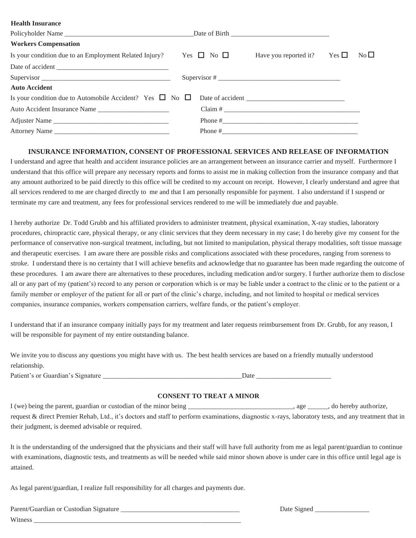#### **Health Insurance**

| Policyholder Name                                                           |  |                                                                                                                                                                                                                                                                                                                                                                                                                    |            |                 |
|-----------------------------------------------------------------------------|--|--------------------------------------------------------------------------------------------------------------------------------------------------------------------------------------------------------------------------------------------------------------------------------------------------------------------------------------------------------------------------------------------------------------------|------------|-----------------|
| <b>Workers Compensation</b>                                                 |  |                                                                                                                                                                                                                                                                                                                                                                                                                    |            |                 |
| Is your condition due to an Employment Related Injury? Yes $\Box$ No $\Box$ |  | Have you reported it?                                                                                                                                                                                                                                                                                                                                                                                              | $Yes \Box$ | No <sub>l</sub> |
|                                                                             |  |                                                                                                                                                                                                                                                                                                                                                                                                                    |            |                 |
| Supervisor                                                                  |  | Supervisor # $\frac{1}{\sqrt{1-\frac{1}{2}}}\frac{1}{\sqrt{1-\frac{1}{2}}}\frac{1}{\sqrt{1-\frac{1}{2}}}\frac{1}{\sqrt{1-\frac{1}{2}}}\frac{1}{\sqrt{1-\frac{1}{2}}}\frac{1}{\sqrt{1-\frac{1}{2}}}\frac{1}{\sqrt{1-\frac{1}{2}}}\frac{1}{\sqrt{1-\frac{1}{2}}}\frac{1}{\sqrt{1-\frac{1}{2}}}\frac{1}{\sqrt{1-\frac{1}{2}}}\frac{1}{\sqrt{1-\frac{1}{2}}}\frac{1}{\sqrt{1-\frac{1}{2}}}\frac{1}{\sqrt{1-\frac{1}{2$ |            |                 |
| <b>Auto Accident</b>                                                        |  |                                                                                                                                                                                                                                                                                                                                                                                                                    |            |                 |
| Is your condition due to Automobile Accident? Yes $\Box$ No $\Box$          |  |                                                                                                                                                                                                                                                                                                                                                                                                                    |            |                 |
| Auto Accident Insurance Name                                                |  | $Claim # _______$                                                                                                                                                                                                                                                                                                                                                                                                  |            |                 |
| Adjuster Name                                                               |  |                                                                                                                                                                                                                                                                                                                                                                                                                    |            |                 |
| Attorney Name                                                               |  |                                                                                                                                                                                                                                                                                                                                                                                                                    |            |                 |

#### **INSURANCE INFORMATION, CONSENT OF PROFESSIONAL SERVICES AND RELEASE OF INFORMATION**

I understand and agree that health and accident insurance policies are an arrangement between an insurance carrier and myself. Furthermore I understand that this office will prepare any necessary reports and forms to assist me in making collection from the insurance company and that any amount authorized to be paid directly to this office will be credited to my account on receipt. However, I clearly understand and agree that all services rendered to me are charged directly to me and that I am personally responsible for payment. I also understand if I suspend or terminate my care and treatment, any fees for professional services rendered to me will be immediately due and payable.

I hereby authorize Dr. Todd Grubb and his affiliated providers to administer treatment, physical examination, X-ray studies, laboratory procedures, chiropractic care, physical therapy, or any clinic services that they deem necessary in my case; I do hereby give my consent for the performance of conservative non-surgical treatment, including, but not limited to manipulation, physical therapy modalities, soft tissue massage and therapeutic exercises. I am aware there are possible risks and complications associated with these procedures, ranging from soreness to stroke. I understand there is no certainty that I will achieve benefits and acknowledge that no guarantee has been made regarding the outcome of these procedures. I am aware there are alternatives to these procedures, including medication and/or surgery. I further authorize them to disclose all or any part of my (patient's) record to any person or corporation which is or may be liable under a contract to the clinic or to the patient or a family member or employer of the patient for all or part of the clinic's charge, including, and not limited to hospital or medical services companies, insurance companies, workers compensation carriers, welfare funds, or the patient's employer.

I understand that if an insurance company initially pays for my treatment and later requests reimbursement from Dr. Grubb, for any reason, I will be responsible for payment of my entire outstanding balance.

We invite you to discuss any questions you might have with us. The best health services are based on a friendly mutually understood relationship.

Patient's or Guardian's Signature \_\_\_\_\_\_\_\_\_\_\_\_\_\_\_\_\_\_\_\_\_\_\_\_\_\_\_\_\_\_\_\_\_\_\_\_\_\_\_\_\_Date \_\_\_\_\_\_\_\_\_\_\_\_\_\_\_\_\_\_\_\_\_\_

### **CONSENT TO TREAT A MINOR**

I (we) being the parent, guardian or custodian of the minor being \_\_\_\_\_\_\_\_\_\_\_\_\_\_\_\_\_\_\_\_\_, age \_\_\_\_\_, do hereby authorize, request & direct Premier Rehab, Ltd., it's doctors and staff to perform examinations, diagnostic x-rays, laboratory tests, and any treatment that in their judgment, is deemed advisable or required.

It is the understanding of the undersigned that the physicians and their staff will have full authority from me as legal parent/guardian to continue with examinations, diagnostic tests, and treatments as will be needed while said minor shown above is under care in this office until legal age is attained.

As legal parent/guardian, I realize full responsibility for all charges and payments due.

Parent/Guardian or Custodian Signature \_\_\_\_\_\_\_\_\_\_\_\_\_\_\_\_\_\_\_\_\_\_\_\_\_\_\_\_\_\_\_\_\_\_\_ Date Signed \_\_\_\_\_\_\_\_\_\_\_\_\_\_\_\_ Witness \_\_\_\_\_\_\_\_\_\_\_\_\_\_\_\_\_\_\_\_\_\_\_\_\_\_\_\_\_\_\_\_\_\_\_\_\_\_\_\_\_\_\_\_\_\_\_\_\_\_\_\_\_\_\_\_\_\_\_\_\_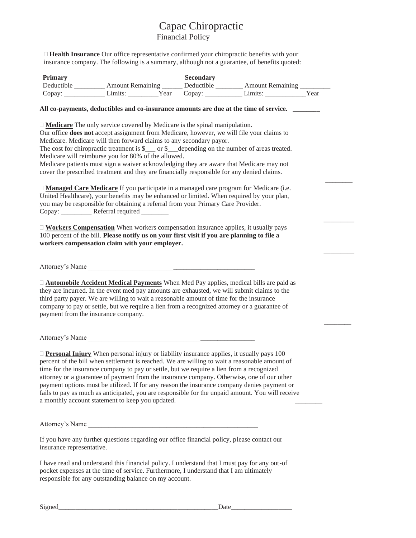## Capac Chiropractic Financial Policy

 $\frac{1}{2}$  and  $\frac{1}{2}$  and  $\frac{1}{2}$ 

 $\overline{\phantom{a}}$   $\overline{\phantom{a}}$   $\overline{\phantom{a}}$   $\overline{\phantom{a}}$   $\overline{\phantom{a}}$   $\overline{\phantom{a}}$   $\overline{\phantom{a}}$   $\overline{\phantom{a}}$   $\overline{\phantom{a}}$   $\overline{\phantom{a}}$   $\overline{\phantom{a}}$   $\overline{\phantom{a}}$   $\overline{\phantom{a}}$   $\overline{\phantom{a}}$   $\overline{\phantom{a}}$   $\overline{\phantom{a}}$   $\overline{\phantom{a}}$   $\overline{\phantom{a}}$   $\overline{\$ 

 $\frac{1}{\sqrt{2}}$ 

 $\overline{\phantom{a}}$  ,  $\overline{\phantom{a}}$  ,  $\overline{\phantom{a}}$  ,  $\overline{\phantom{a}}$  ,  $\overline{\phantom{a}}$  ,  $\overline{\phantom{a}}$  ,  $\overline{\phantom{a}}$  ,  $\overline{\phantom{a}}$  ,  $\overline{\phantom{a}}$  ,  $\overline{\phantom{a}}$  ,  $\overline{\phantom{a}}$  ,  $\overline{\phantom{a}}$  ,  $\overline{\phantom{a}}$  ,  $\overline{\phantom{a}}$  ,  $\overline{\phantom{a}}$  ,  $\overline{\phantom{a}}$ 

 **Health Insurance** Our office representative confirmed your chiropractic benefits with your insurance company. The following is a summary, although not a guarantee, of benefits quoted:

| <b>Primary</b> |                         |      | <b>Secondary</b> |                         |      |
|----------------|-------------------------|------|------------------|-------------------------|------|
| Deductible     | <b>Amount Remaining</b> |      | Deductible       | <b>Amount Remaining</b> |      |
| Copay:         | Limits:                 | Year | Copay:           | Limits:                 | Year |

#### **All co-payments, deductibles and co-insurance amounts are due at the time of service. \_\_\_\_\_\_\_\_**

**Medicare** The only service covered by Medicare is the spinal manipulation.

Our office **does not** accept assignment from Medicare, however, we will file your claims to Medicare. Medicare will then forward claims to any secondary payor.

The cost for chiropractic treatment is  $\$  or  $\$  depending on the number of areas treated. Medicare will reimburse you for 80% of the allowed.

Medicare patients must sign a waiver acknowledging they are aware that Medicare may not cover the prescribed treatment and they are financially responsible for any denied claims.

 **Managed Care Medicare** If you participate in a managed care program for Medicare (i.e. United Healthcare), your benefits may be enhanced or limited. When required by your plan, you may be responsible for obtaining a referral from your Primary Care Provider. Copay: \_\_\_\_\_\_\_\_\_\_\_ Referral required \_\_\_\_\_\_\_\_

 **Workers Compensation** When workers compensation insurance applies, it usually pays 100 percent of the bill. **Please notify us on your first visit if you are planning to file a workers compensation claim with your employer.**

Attorney's Name \_\_\_\_\_\_\_\_\_\_\_\_\_\_\_\_\_\_\_\_\_\_\_\_\_\_\_\_\_\_\_\_\_\_\_\_\_\_\_\_\_\_\_\_\_\_\_\_\_

 **Automobile Accident Medical Payments** When Med Pay applies, medical bills are paid as they are incurred. In the event med pay amounts are exhausted, we will submit claims to the third party payer. We are willing to wait a reasonable amount of time for the insurance company to pay or settle, but we require a lien from a recognized attorney or a guarantee of payment from the insurance company.

Attorney's Name \_\_\_\_\_\_\_\_\_\_\_\_\_\_\_\_\_\_\_\_\_\_\_\_\_\_\_\_\_\_\_\_\_\_\_\_\_\_\_\_\_\_\_\_\_\_\_\_\_

 **Personal Injury** When personal injury or liability insurance applies, it usually pays 100 percent of the bill when settlement is reached. We are willing to wait a reasonable amount of time for the insurance company to pay or settle, but we require a lien from a recognized attorney or a guarantee of payment from the insurance company. Otherwise, one of our other payment options must be utilized. If for any reason the insurance company denies payment or fails to pay as much as anticipated, you are responsible for the unpaid amount. You will receive a monthly account statement to keep you updated.

Attorney's Name \_\_\_\_\_\_\_\_\_\_\_\_\_\_\_\_\_\_\_\_\_\_\_\_\_\_\_\_\_\_\_\_\_\_\_\_\_\_\_\_\_\_\_\_\_\_\_\_\_\_

If you have any further questions regarding our office financial policy, please contact our insurance representative.

I have read and understand this financial policy. I understand that I must pay for any out-of pocket expenses at the time of service. Furthermore, I understand that I am ultimately responsible for any outstanding balance on my account.